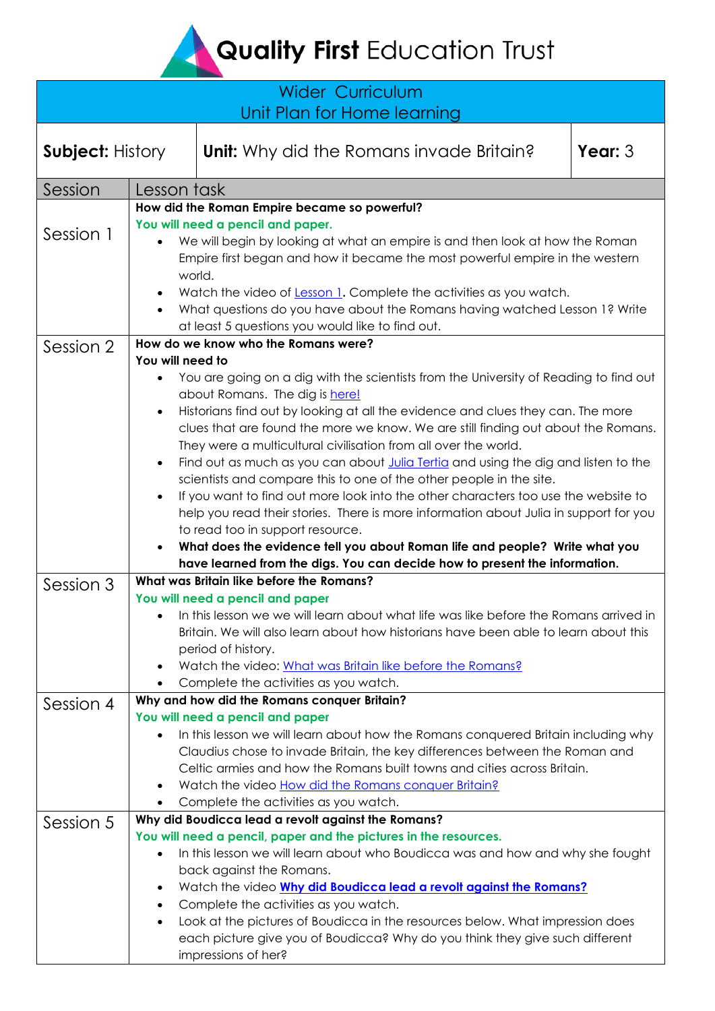# Quality First Education Trust

| <b>Wider Curriculum</b>     |                                                                                                                                                                                                             |                                                                                                                                                                                                                                                                                                                                                                                                                                                                                                                                                                                                                                                                                                                                                                                                                                                                                                                 |           |  |
|-----------------------------|-------------------------------------------------------------------------------------------------------------------------------------------------------------------------------------------------------------|-----------------------------------------------------------------------------------------------------------------------------------------------------------------------------------------------------------------------------------------------------------------------------------------------------------------------------------------------------------------------------------------------------------------------------------------------------------------------------------------------------------------------------------------------------------------------------------------------------------------------------------------------------------------------------------------------------------------------------------------------------------------------------------------------------------------------------------------------------------------------------------------------------------------|-----------|--|
| Unit Plan for Home learning |                                                                                                                                                                                                             |                                                                                                                                                                                                                                                                                                                                                                                                                                                                                                                                                                                                                                                                                                                                                                                                                                                                                                                 |           |  |
| <b>Subject: History</b>     |                                                                                                                                                                                                             | <b>Unit:</b> Why did the Romans invade Britain?                                                                                                                                                                                                                                                                                                                                                                                                                                                                                                                                                                                                                                                                                                                                                                                                                                                                 | Year: $3$ |  |
| Session                     | Lesson task                                                                                                                                                                                                 |                                                                                                                                                                                                                                                                                                                                                                                                                                                                                                                                                                                                                                                                                                                                                                                                                                                                                                                 |           |  |
|                             |                                                                                                                                                                                                             | How did the Roman Empire became so powerful?                                                                                                                                                                                                                                                                                                                                                                                                                                                                                                                                                                                                                                                                                                                                                                                                                                                                    |           |  |
| Session 1                   | You will need a pencil and paper.<br>We will begin by looking at what an empire is and then look at how the Roman<br>Empire first began and how it became the most powerful empire in the western<br>world. |                                                                                                                                                                                                                                                                                                                                                                                                                                                                                                                                                                                                                                                                                                                                                                                                                                                                                                                 |           |  |
|                             |                                                                                                                                                                                                             | Watch the video of Lesson 1. Complete the activities as you watch.<br>What questions do you have about the Romans having watched Lesson 1? Write<br>at least 5 questions you would like to find out.                                                                                                                                                                                                                                                                                                                                                                                                                                                                                                                                                                                                                                                                                                            |           |  |
| Session 2                   | How do we know who the Romans were?                                                                                                                                                                         |                                                                                                                                                                                                                                                                                                                                                                                                                                                                                                                                                                                                                                                                                                                                                                                                                                                                                                                 |           |  |
|                             | You will need to<br>$\bullet$                                                                                                                                                                               | You are going on a dig with the scientists from the University of Reading to find out<br>about Romans. The dig is here!<br>Historians find out by looking at all the evidence and clues they can. The more<br>clues that are found the more we know. We are still finding out about the Romans.<br>They were a multicultural civilisation from all over the world.<br>Find out as much as you can about Julia Tertia and using the dig and listen to the<br>scientists and compare this to one of the other people in the site.<br>If you want to find out more look into the other characters too use the website to<br>help you read their stories. There is more information about Julia in support for you<br>to read too in support resource.<br>What does the evidence tell you about Roman life and people? Write what you<br>have learned from the digs. You can decide how to present the information. |           |  |
| Session 3                   | What was Britain like before the Romans?                                                                                                                                                                    |                                                                                                                                                                                                                                                                                                                                                                                                                                                                                                                                                                                                                                                                                                                                                                                                                                                                                                                 |           |  |
|                             |                                                                                                                                                                                                             | You will need a pencil and paper<br>In this lesson we we will learn about what life was like before the Romans arrived in<br>Britain. We will also learn about how historians have been able to learn about this<br>period of history.<br>Watch the video: What was Britain like before the Romans?<br>Complete the activities as you watch.                                                                                                                                                                                                                                                                                                                                                                                                                                                                                                                                                                    |           |  |
| Session 4                   |                                                                                                                                                                                                             | Why and how did the Romans conquer Britain?                                                                                                                                                                                                                                                                                                                                                                                                                                                                                                                                                                                                                                                                                                                                                                                                                                                                     |           |  |
|                             |                                                                                                                                                                                                             | You will need a pencil and paper<br>In this lesson we will learn about how the Romans conquered Britain including why<br>Claudius chose to invade Britain, the key differences between the Roman and<br>Celtic armies and how the Romans built towns and cities across Britain.<br>Watch the video How did the Romans conquer Britain?<br>Complete the activities as you watch.                                                                                                                                                                                                                                                                                                                                                                                                                                                                                                                                 |           |  |
| Session 5                   |                                                                                                                                                                                                             | Why did Boudicca lead a revolt against the Romans?                                                                                                                                                                                                                                                                                                                                                                                                                                                                                                                                                                                                                                                                                                                                                                                                                                                              |           |  |
|                             | ٠<br>$\bullet$                                                                                                                                                                                              | You will need a pencil, paper and the pictures in the resources.<br>In this lesson we will learn about who Boudicca was and how and why she fought<br>back against the Romans.<br>Watch the video Why did Boudicca lead a revolt against the Romans?<br>Complete the activities as you watch.<br>Look at the pictures of Boudicca in the resources below. What impression does<br>each picture give you of Boudicca? Why do you think they give such different<br>impressions of her?                                                                                                                                                                                                                                                                                                                                                                                                                           |           |  |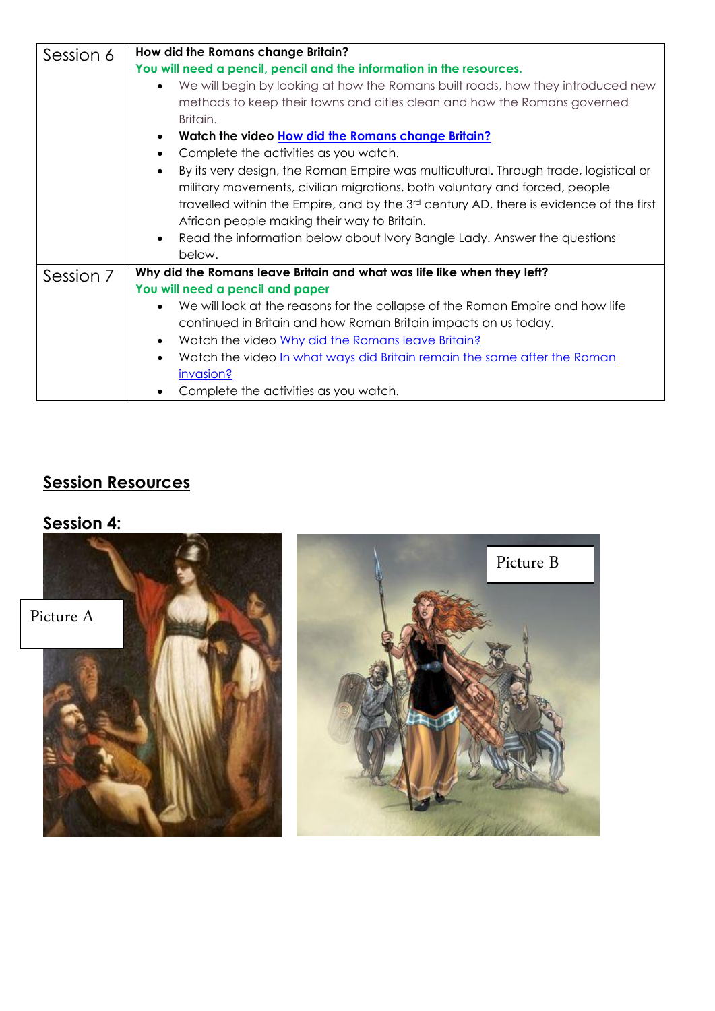| Session 6 | How did the Romans change Britain?                                                                          |  |  |
|-----------|-------------------------------------------------------------------------------------------------------------|--|--|
|           | You will need a pencil, pencil and the information in the resources.                                        |  |  |
|           | We will begin by looking at how the Romans built roads, how they introduced new<br>$\bullet$                |  |  |
|           | methods to keep their towns and cities clean and how the Romans governed                                    |  |  |
|           | Britain.                                                                                                    |  |  |
|           | Watch the video How did the Romans change Britain?                                                          |  |  |
|           | Complete the activities as you watch.<br>$\bullet$                                                          |  |  |
|           | By its very design, the Roman Empire was multicultural. Through trade, logistical or<br>$\bullet$           |  |  |
|           | military movements, civilian migrations, both voluntary and forced, people                                  |  |  |
|           | travelled within the Empire, and by the 3 <sup>rd</sup> century AD, there is evidence of the first          |  |  |
|           | African people making their way to Britain.                                                                 |  |  |
|           | Read the information below about Ivory Bangle Lady. Answer the questions<br>$\bullet$                       |  |  |
|           | below.                                                                                                      |  |  |
| Session 7 | Why did the Romans leave Britain and what was life like when they left?<br>You will need a pencil and paper |  |  |
|           |                                                                                                             |  |  |
|           | We will look at the reasons for the collapse of the Roman Empire and how life                               |  |  |
|           | continued in Britain and how Roman Britain impacts on us today.                                             |  |  |
|           | Watch the video Why did the Romans leave Britain?<br>$\bullet$                                              |  |  |
|           | Watch the video <u>In what ways did Britain remain the same after the Roman</u><br>$\bullet$                |  |  |
|           | invasion?                                                                                                   |  |  |
|           | Complete the activities as you watch.                                                                       |  |  |

## **Session Resources**

## **Session 4:**